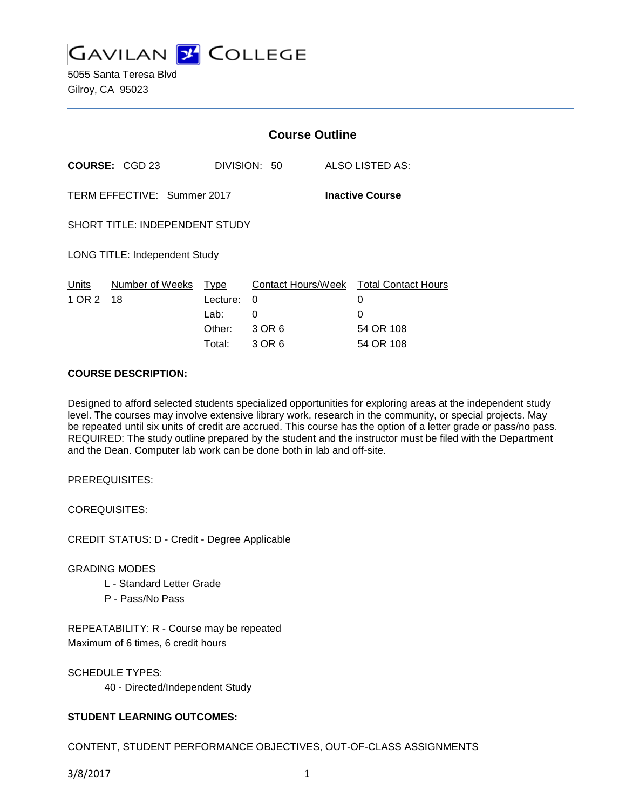

5055 Santa Teresa Blvd Gilroy, CA 95023

|                                                       |                                       | <b>Course Outline</b> |              |                        |                                        |
|-------------------------------------------------------|---------------------------------------|-----------------------|--------------|------------------------|----------------------------------------|
|                                                       | <b>COURSE: CGD 23</b>                 |                       | DIVISION: 50 | <b>ALSO LISTED AS:</b> |                                        |
| TERM EFFECTIVE: Summer 2017<br><b>Inactive Course</b> |                                       |                       |              |                        |                                        |
|                                                       | <b>SHORT TITLE: INDEPENDENT STUDY</b> |                       |              |                        |                                        |
|                                                       | <b>LONG TITLE: Independent Study</b>  |                       |              |                        |                                        |
| Units                                                 | Number of Weeks Type                  |                       |              |                        | Contact Hours/Week Total Contact Hours |
| 1 OR 2                                                | 18                                    | Lecture:              | 0            |                        | 0                                      |
|                                                       |                                       | Lab:                  | 0            |                        | 0                                      |
|                                                       |                                       | Other:                | 3 OR 6       |                        | 54 OR 108                              |
|                                                       |                                       | Total:                | 3 OR 6       |                        | 54 OR 108                              |

### **COURSE DESCRIPTION:**

Designed to afford selected students specialized opportunities for exploring areas at the independent study level. The courses may involve extensive library work, research in the community, or special projects. May be repeated until six units of credit are accrued. This course has the option of a letter grade or pass/no pass. REQUIRED: The study outline prepared by the student and the instructor must be filed with the Department and the Dean. Computer lab work can be done both in lab and off-site.

PREREQUISITES:

COREQUISITES:

CREDIT STATUS: D - Credit - Degree Applicable

#### GRADING MODES

- L Standard Letter Grade
- P Pass/No Pass

REPEATABILITY: R - Course may be repeated Maximum of 6 times, 6 credit hours

SCHEDULE TYPES: 40 - Directed/Independent Study

### **STUDENT LEARNING OUTCOMES:**

CONTENT, STUDENT PERFORMANCE OBJECTIVES, OUT-OF-CLASS ASSIGNMENTS

3/8/2017 1